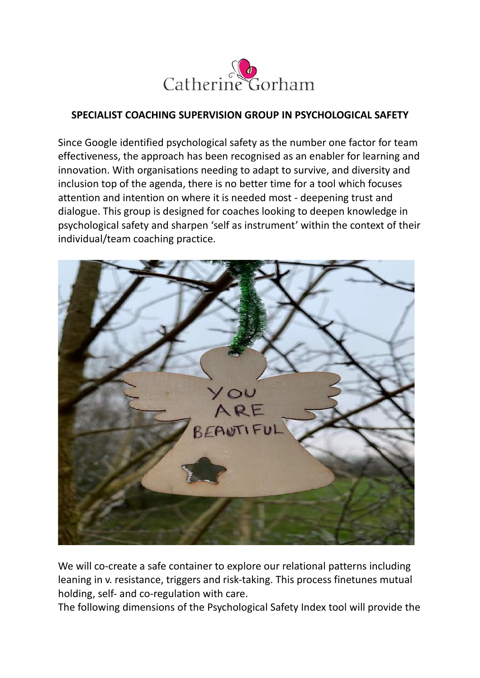

## **SPECIALIST COACHING SUPERVISION GROUP IN PSYCHOLOGICAL SAFETY**

Since Google identified psychological safety as the number one factor for team effectiveness, the approach has been recognised as an enabler for learning and innovation. With organisations needing to adapt to survive, and diversity and inclusion top of the agenda, there is no better time for a tool which focuses attention and intention on where it is needed most - deepening trust and dialogue. This group is designed for coaches looking to deepen knowledge in psychological safety and sharpen 'self as instrument' within the context of their individual/team coaching practice.



We will co-create a safe container to explore our relational patterns including leaning in v. resistance, triggers and risk-taking. This process finetunes mutual holding, self- and co-regulation with care.

The following dimensions of the Psychological Safety Index tool will provide the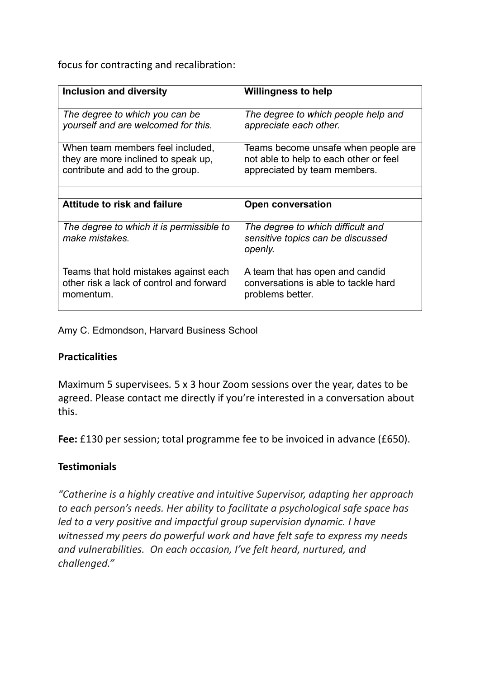focus for contracting and recalibration:

| Inclusion and diversity                                                                                     | <b>Willingness to help</b>                                                                                    |
|-------------------------------------------------------------------------------------------------------------|---------------------------------------------------------------------------------------------------------------|
| The degree to which you can be<br>yourself and are welcomed for this.                                       | The degree to which people help and<br>appreciate each other.                                                 |
| When team members feel included,<br>they are more inclined to speak up,<br>contribute and add to the group. | Teams become unsafe when people are<br>not able to help to each other or feel<br>appreciated by team members. |
|                                                                                                             |                                                                                                               |
| <b>Attitude to risk and failure</b>                                                                         | <b>Open conversation</b>                                                                                      |
| The degree to which it is permissible to<br>make mistakes.                                                  | The degree to which difficult and<br>sensitive topics can be discussed<br>openly.                             |
| Teams that hold mistakes against each<br>other risk a lack of control and forward<br>momentum.              | A team that has open and candid<br>conversations is able to tackle hard<br>problems better.                   |

Amy C. Edmondson, Harvard Business School

## **Practicalities**

Maximum 5 supervisees*.* 5 x 3 hour Zoom sessions over the year, dates to be agreed. Please contact me directly if you're interested in a conversation about this.

**Fee:** £130 per session; total programme fee to be invoiced in advance (£650).

## **Testimonials**

*"Catherine is a highly creative and intuitive Supervisor, adapting her approach to each person's needs. Her ability to facilitate a psychological safe space has led to a very positive and impactful group supervision dynamic. I have witnessed my peers do powerful work and have felt safe to express my needs and vulnerabilities. On each occasion, I've felt heard, nurtured, and challenged."*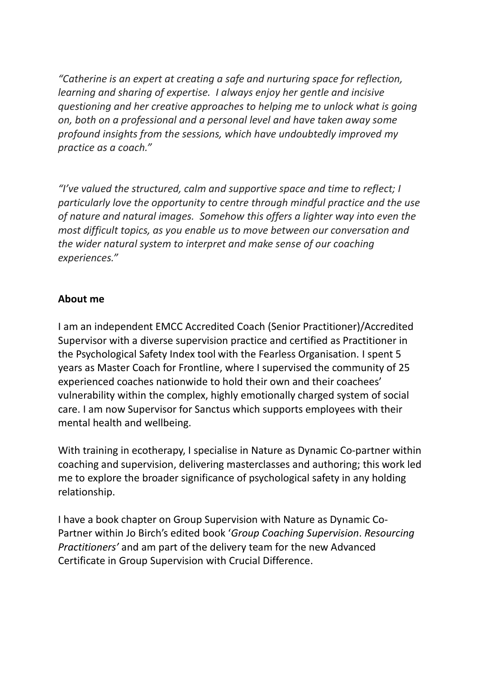*"Catherine is an expert at creating a safe and nurturing space for reflection, learning and sharing of expertise. I always enjoy her gentle and incisive questioning and her creative approaches to helping me to unlock what is going on, both on a professional and a personal level and have taken away some profound insights from the sessions, which have undoubtedly improved my practice as a coach."*

*"I've valued the structured, calm and supportive space and time to reflect; I particularly love the opportunity to centre through mindful practice and the use of nature and natural images. Somehow this offers a lighter way into even the most difficult topics, as you enable us to move between our conversation and the wider natural system to interpret and make sense of our coaching experiences."*

## **About me**

I am an independent EMCC Accredited Coach (Senior Practitioner)/Accredited Supervisor with a diverse supervision practice and certified as Practitioner in the Psychological Safety Index tool with the Fearless Organisation. I spent 5 years as Master Coach for Frontline, where I supervised the community of 25 experienced coaches nationwide to hold their own and their coachees' vulnerability within the complex, highly emotionally charged system of social care. I am now Supervisor for Sanctus which supports employees with their mental health and wellbeing.

With training in ecotherapy, I specialise in Nature as Dynamic Co-partner within coaching and supervision, delivering masterclasses and authoring; this work led me to explore the broader significance of psychological safety in any holding relationship.

I have a book chapter on Group Supervision with Nature as Dynamic Co-Partner within Jo Birch's edited book '*Group Coaching Supervision*. *Resourcing Practitioners'* and am part of the delivery team for the new Advanced Certificate in Group Supervision with Crucial Difference.